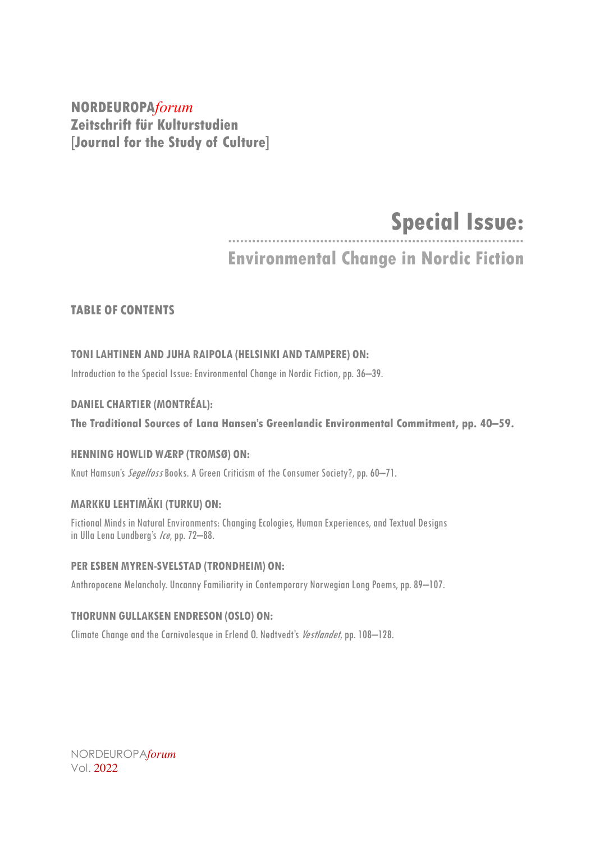**NORDEUROPA***forum* **Zeitschrift für Kulturstudien [Journal for the Study of Culture]**

# **Special Issue:**

**Environmental Change in Nordic Fiction**

# **TABLE OF CONTENTS**

# **TONILAHTINEN AND JUHA RAIPOLA (HELSINKI AND TAMPERE) ON:**

Introduction to the Special Issue: Environmental Change in Nordic Fiction, pp. 36–39.

# **DANIEL CHARTIER (MONTRÉAL):**

**The Traditional Sources of Lana Hansen's Greenlandic Environmental Commitment, pp. 40–59.**

# **HENNING HOWLID WÆRP (TROMSØ) ON:**

Knut Hamsun's *Segelfoss* Books. A Green Criticism of the Consumer Society?, pp. 60-71.

# **MARKKU LEHTIMÄKI (TURKU) ON:**

Fictional Minds in Natural Environments: Changing Ecologies, Human Experiences, and Textual Designs in Ulla Lena Lundberg's Ice, pp. 72-88.

## **PER ESBEN MYREN-SVELSTAD (TRONDHEIM) ON:**

Anthropocene Melancholy. Uncanny Familiarity in Contemporary Norwegian Long Poems, pp. 89-107.

## **THORUNN GULLAKSEN ENDRESON (OSLO) ON:**

Climate Change and the Carnivalesque in Erlend O. Nødtvedt's Vestlandet, pp. 108-128.

NORDEUROPA*forum* Vol. 2022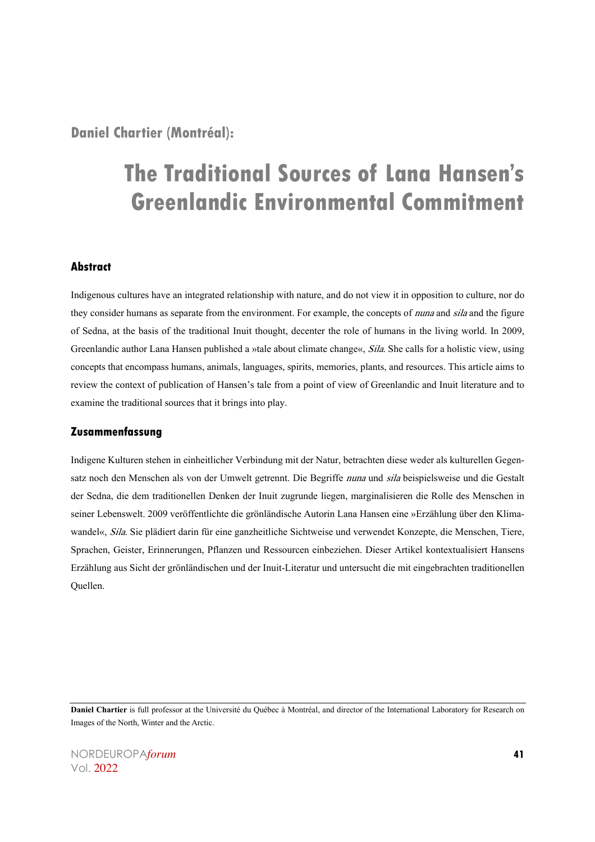**Daniel Chartier (Montréal):**

# **The Traditional Sources of Lana Hansen's Greenlandic Environmental Commitment**

# **Abstract**

Indigenous cultures have an integrated relationship with nature, and do not view it in opposition to culture, nor do they consider humans as separate from the environment. For example, the concepts of *nuna* and sila and the figure of Sedna, at the basis of the traditional Inuit thought, decenter the role of humans in the living world. In 2009, Greenlandic author Lana Hansen published a »tale about climate change«, Sila. She calls for a holistic view, using concepts that encompass humans, animals, languages, spirits, memories, plants, and resources. This article aims to review the context of publication of Hansen's tale from a point of view of Greenlandic and Inuit literature and to examine the traditional sources that it brings into play.

## **Zusammenfassung**

Indigene Kulturen stehen in einheitlicher Verbindung mit der Natur, betrachten diese weder als kulturellen Gegensatz noch den Menschen als von der Umwelt getrennt. Die Begriffe nuna und sila beispielsweise und die Gestalt der Sedna, die dem traditionellen Denken der Inuit zugrunde liegen, marginalisieren die Rolle des Menschen in seiner Lebenswelt. 2009 veröffentlichte die grönländische Autorin Lana Hansen eine »Erzählung über den Klimawandel«, Sila. Sie plädiert darin für eine ganzheitliche Sichtweise und verwendet Konzepte, die Menschen, Tiere, Sprachen, Geister, Erinnerungen, Pflanzen und Ressourcen einbeziehen. Dieser Artikel kontextualisiert Hansens Erzählung aus Sicht der grönländischen und der Inuit-Literatur und untersucht die mit eingebrachten traditionellen Quellen.

**Daniel Chartier** is full professor at the Université du Québec à Montréal, and director of the International Laboratory for Research on Images of the North, Winter and the Arctic.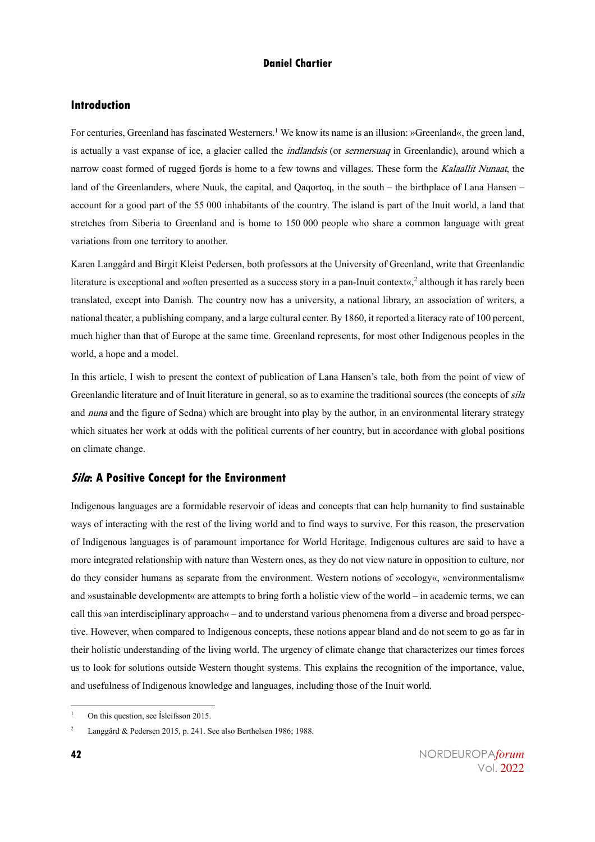# **Introduction**

For centuries, Greenland has fascinated Westerners.<sup>1</sup> We know its name is an illusion: »Greenland«, the green land, is actually a vast expanse of ice, a glacier called the *indlandsis* (or *sermersuaq* in Greenlandic), around which a narrow coast formed of rugged fjords is home to a few towns and villages. These form the Kalaallit Nunaat, the land of the Greenlanders, where Nuuk, the capital, and Qaqortoq, in the south – the birthplace of Lana Hansen – account for a good part of the 55 000 inhabitants of the country. The island is part of the Inuit world, a land that stretches from Siberia to Greenland and is home to 150 000 people who share a common language with great variations from one territory to another.

Karen Langgård and Birgit Kleist Pedersen, both professors at the University of Greenland, write that Greenlandic literature is exceptional and »often presented as a success story in a pan-Inuit context«,<sup>2</sup> although it has rarely been translated, except into Danish. The country now has a university, a national library, an association of writers, a national theater, a publishing company, and a large cultural center. By 1860, it reported a literacy rate of 100 percent, much higher than that of Europe at the same time. Greenland represents, for most other Indigenous peoples in the world, a hope and a model.

In this article, I wish to present the context of publication of Lana Hansen's tale, both from the point of view of Greenlandic literature and of Inuit literature in general, so as to examine the traditional sources (the concepts of *sila* and nuna and the figure of Sedna) which are brought into play by the author, in an environmental literary strategy which situates her work at odds with the political currents of her country, but in accordance with global positions on climate change.

# **Sila: A Positive Concept for the Environment**

Indigenous languages are a formidable reservoir of ideas and concepts that can help humanity to find sustainable ways of interacting with the rest of the living world and to find ways to survive. For this reason, the preservation of Indigenous languages is of paramount importance for World Heritage. Indigenous cultures are said to have a more integrated relationship with nature than Western ones, as they do not view nature in opposition to culture, nor do they consider humans as separate from the environment. Western notions of »ecology«, »environmentalism« and »sustainable development« are attempts to bring forth a holistic view of the world – in academic terms, we can call this »an interdisciplinary approach« – and to understand various phenomena from a diverse and broad perspective. However, when compared to Indigenous concepts, these notions appear bland and do not seem to go as far in their holistic understanding of the living world. The urgency of climate change that characterizes our times forces us to look for solutions outside Western thought systems. This explains the recognition of the importance, value, and usefulness of Indigenous knowledge and languages, including those of the Inuit world.

<sup>1</sup> On this question, see Ísleifsson 2015.

<sup>2</sup> Langgård & Pedersen 2015, p. 241. See also Berthelsen 1986; 1988.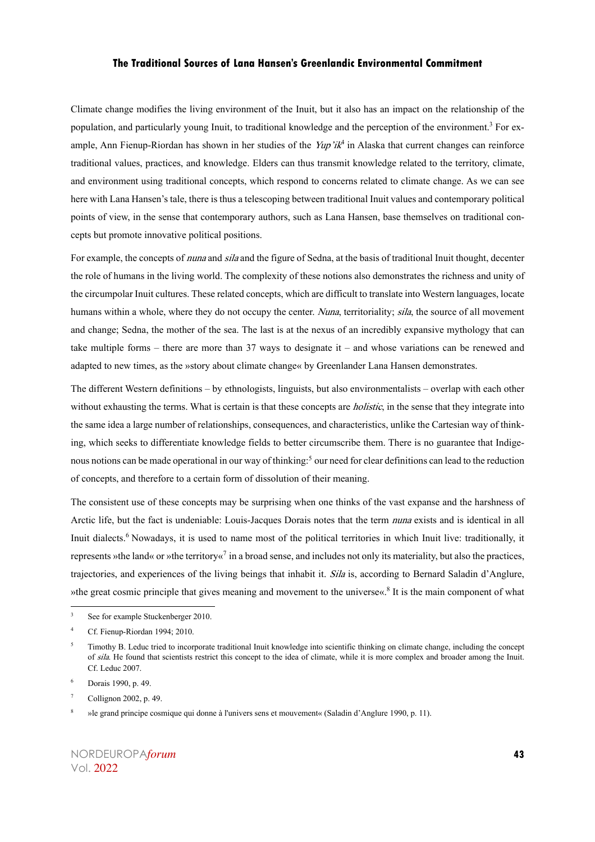Climate change modifies the living environment of the Inuit, but it also has an impact on the relationship of the population, and particularly young Inuit, to traditional knowledge and the perception of the environment.<sup>3</sup> For example, Ann Fienup-Riordan has shown in her studies of the  $Yup'i\mathcal{H}^4$  in Alaska that current changes can reinforce traditional values, practices, and knowledge. Elders can thus transmit knowledge related to the territory, climate, and environment using traditional concepts, which respond to concerns related to climate change. As we can see here with Lana Hansen's tale, there is thus a telescoping between traditional Inuit values and contemporary political points of view, in the sense that contemporary authors, such as Lana Hansen, base themselves on traditional concepts but promote innovative political positions.

For example, the concepts of *nuna* and *sila* and the figure of Sedna, at the basis of traditional Inuit thought, decenter the role of humans in the living world. The complexity of these notions also demonstrates the richness and unity of the circumpolar Inuit cultures. These related concepts, which are difficult to translate into Western languages, locate humans within a whole, where they do not occupy the center. Nuna, territoriality; sila, the source of all movement and change; Sedna, the mother of the sea. The last is at the nexus of an incredibly expansive mythology that can take multiple forms – there are more than 37 ways to designate it – and whose variations can be renewed and adapted to new times, as the »story about climate change« by Greenlander Lana Hansen demonstrates.

The different Western definitions – by ethnologists, linguists, but also environmentalists – overlap with each other without exhausting the terms. What is certain is that these concepts are *holistic*, in the sense that they integrate into the same idea a large number of relationships, consequences, and characteristics, unlike the Cartesian way of thinking, which seeks to differentiate knowledge fields to better circumscribe them. There is no guarantee that Indigenous notions can be made operational in our way of thinking:<sup>5</sup> our need for clear definitions can lead to the reduction of concepts, and therefore to a certain form of dissolution of their meaning.

The consistent use of these concepts may be surprising when one thinks of the vast expanse and the harshness of Arctic life, but the fact is undeniable: Louis-Jacques Dorais notes that the term nuna exists and is identical in all Inuit dialects.<sup>6</sup> Nowadays, it is used to name most of the political territories in which Inuit live: traditionally, it represents »the land« or »the territory«<sup>7</sup> in a broad sense, and includes not only its materiality, but also the practices, trajectories, and experiences of the living beings that inhabit it. Sila is, according to Bernard Saladin d'Anglure, »the great cosmic principle that gives meaning and movement to the universe«.<sup>8</sup> It is the main component of what

See for example Stuckenberger 2010.

<sup>4</sup> Cf. Fienup-Riordan 1994; 2010.

<sup>5</sup> Timothy B. Leduc tried to incorporate traditional Inuit knowledge into scientific thinking on climate change, including the concept of sila. He found that scientists restrict this concept to the idea of climate, while it is more complex and broader among the Inuit. Cf. Leduc 2007.

Dorais 1990, p. 49.

<sup>7</sup> Collignon 2002, p. 49.

<sup>8</sup> »le grand principe cosmique qui donne à l'univers sens et mouvement« (Saladin d'Anglure 1990, p. 11).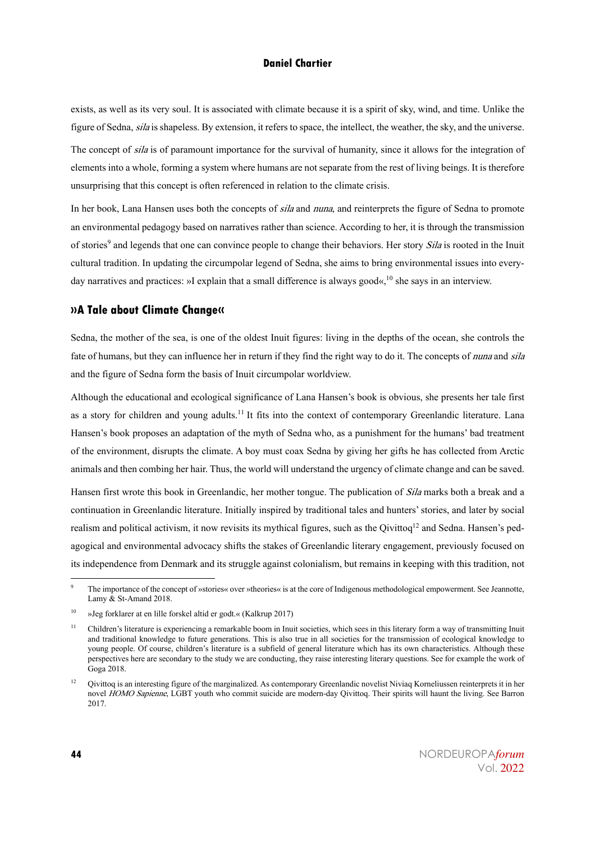exists, as well as its very soul. It is associated with climate because it is a spirit of sky, wind, and time. Unlike the figure of Sedna, silais shapeless. By extension, it refers to space, the intellect, the weather, the sky, and the universe. The concept of *sila* is of paramount importance for the survival of humanity, since it allows for the integration of elements into a whole, forming a system where humans are not separate from the rest of living beings. It is therefore unsurprising that this concept is often referenced in relation to the climate crisis.

In her book, Lana Hansen uses both the concepts of sila and nuna, and reinterprets the figure of Sedna to promote an environmental pedagogy based on narratives rather than science. According to her, it is through the transmission of stories<sup>9</sup> and legends that one can convince people to change their behaviors. Her story *Sila* is rooted in the Inuit cultural tradition. In updating the circumpolar legend of Sedna, she aims to bring environmental issues into everyday narratives and practices: »I explain that a small difference is always good«, $10$  she says in an interview.

#### **»A Tale about Climate Change«**

Sedna, the mother of the sea, is one of the oldest Inuit figures: living in the depths of the ocean, she controls the fate of humans, but they can influence her in return if they find the right way to do it. The concepts of *nuna* and *sila* and the figure of Sedna form the basis of Inuit circumpolar worldview.

Although the educational and ecological significance of Lana Hansen's book is obvious, she presents her tale first as a story for children and young adults.<sup>11</sup> It fits into the context of contemporary Greenlandic literature. Lana Hansen's book proposes an adaptation of the myth of Sedna who, as a punishment for the humans' bad treatment of the environment, disrupts the climate. A boy must coax Sedna by giving her gifts he has collected from Arctic animals and then combing her hair. Thus, the world will understand the urgency of climate change and can be saved.

Hansen first wrote this book in Greenlandic, her mother tongue. The publication of Sila marks both a break and a continuation in Greenlandic literature. Initially inspired by traditional tales and hunters' stories, and later by social realism and political activism, it now revisits its mythical figures, such as the Qivittoq<sup>12</sup> and Sedna. Hansen's pedagogical and environmental advocacy shifts the stakes of Greenlandic literary engagement, previously focused on its independence from Denmark and its struggle against colonialism, but remains in keeping with this tradition, not

The importance of the concept of »stories« over »theories« is at the core of Indigenous methodological empowerment. See Jeannotte, Lamy & St-Amand 2018.

<sup>10</sup> »Jeg forklarer at en lille forskel altid er godt.« (Kalkrup 2017)

<sup>&</sup>lt;sup>11</sup> Children's literature is experiencing a remarkable boom in Inuit societies, which sees in this literary form a way of transmitting Inuit and traditional knowledge to future generations. This is also true in all societies for the transmission of ecological knowledge to young people. Of course, children's literature is a subfield of general literature which has its own characteristics. Although these perspectives here are secondary to the study we are conducting, they raise interesting literary questions. See for example the work of Goga 2018.

<sup>&</sup>lt;sup>12</sup> Qivittoq is an interesting figure of the marginalized. As contemporary Greenlandic novelist Niviaq Korneliussen reinterprets it in her novel HOMO Sapienne, LGBT youth who commit suicide are modern-day Qivittoq. Their spirits will haunt the living. See Barron 2017.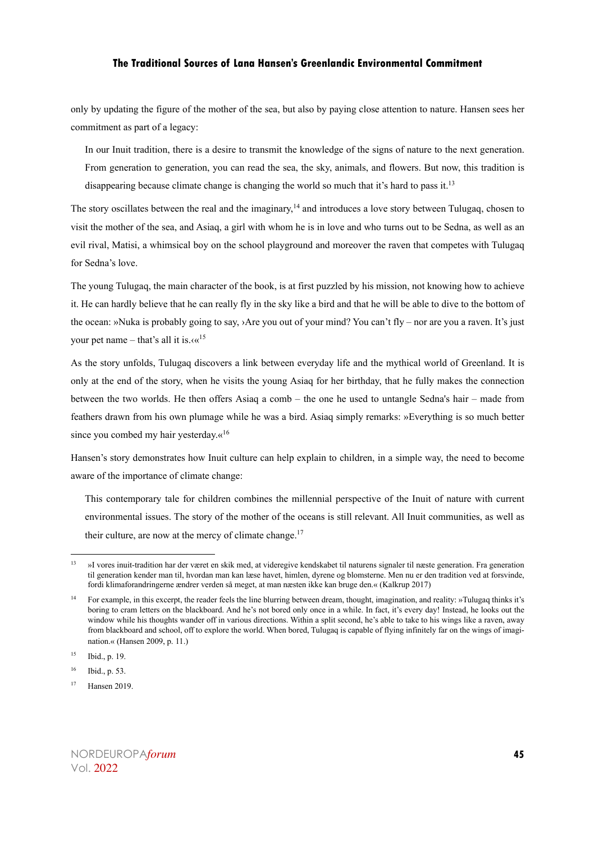only by updating the figure of the mother of the sea, but also by paying close attention to nature. Hansen sees her commitment as part of a legacy:

In our Inuit tradition, there is a desire to transmit the knowledge of the signs of nature to the next generation. From generation to generation, you can read the sea, the sky, animals, and flowers. But now, this tradition is disappearing because climate change is changing the world so much that it's hard to pass it.<sup>13</sup>

The story oscillates between the real and the imaginary,<sup>14</sup> and introduces a love story between Tulugaq, chosen to visit the mother of the sea, and Asiaq, a girl with whom he is in love and who turns out to be Sedna, as well as an evil rival, Matisi, a whimsical boy on the school playground and moreover the raven that competes with Tulugaq for Sedna's love.

The young Tulugaq, the main character of the book, is at first puzzled by his mission, not knowing how to achieve it. He can hardly believe that he can really fly in the sky like a bird and that he will be able to dive to the bottom of the ocean: »Nuka is probably going to say, ›Are you out of your mind? You can't fly – nor are you a raven. It's just your pet name – that's all it is. $\alpha^{15}$ 

As the story unfolds, Tulugaq discovers a link between everyday life and the mythical world of Greenland. It is only at the end of the story, when he visits the young Asiaq for her birthday, that he fully makes the connection between the two worlds. He then offers Asiaq a comb – the one he used to untangle Sedna's hair – made from feathers drawn from his own plumage while he was a bird. Asiaq simply remarks: »Everything is so much better since you combed my hair yesterday. $\alpha^{16}$ 

Hansen's story demonstrates how Inuit culture can help explain to children, in a simple way, the need to become aware of the importance of climate change:

This contemporary tale for children combines the millennial perspective of the Inuit of nature with current environmental issues. The story of the mother of the oceans is still relevant. All Inuit communities, as well as their culture, are now at the mercy of climate change.<sup>17</sup>

<sup>&</sup>lt;sup>13</sup> »I vores inuit-tradition har der været en skik med, at videregive kendskabet til naturens signaler til næste generation. Fra generation til generation kender man til, hvordan man kan læse havet, himlen, dyrene og blomsterne. Men nu er den tradition ved at forsvinde, fordi klimaforandringerne ændrer verden så meget, at man næsten ikke kan bruge den.« (Kalkrup 2017)

<sup>14</sup> For example, in this excerpt, the reader feels the line blurring between dream, thought, imagination, and reality: »Tulugaq thinks it's boring to cram letters on the blackboard. And he's not bored only once in a while. In fact, it's every day! Instead, he looks out the window while his thoughts wander off in various directions. Within a split second, he's able to take to his wings like a raven, away from blackboard and school, off to explore the world. When bored, Tulugaq is capable of flying infinitely far on the wings of imagination.« (Hansen 2009, p. 11.)

<sup>15</sup> Ibid., p. 19.

<sup>16</sup> Ibid., p. 53.

<sup>17</sup> Hansen 2019.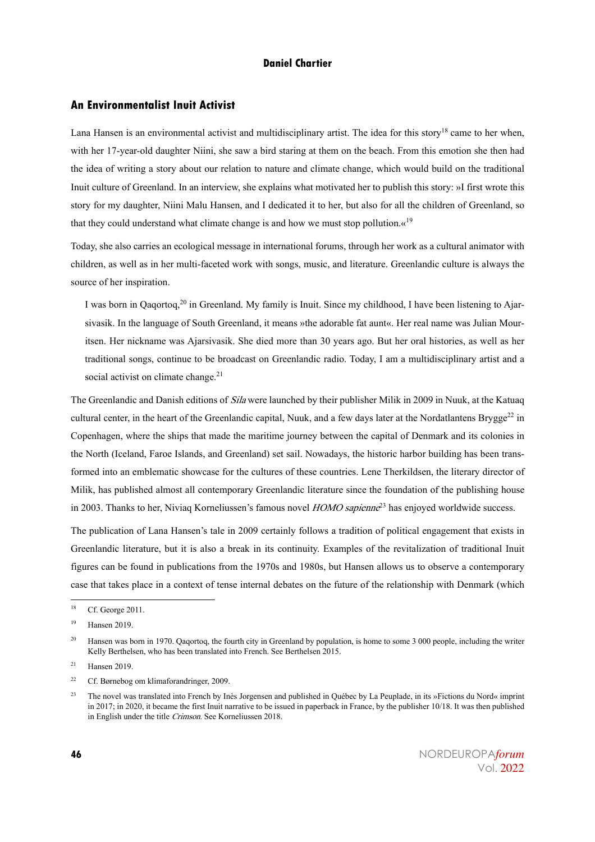### **An Environmentalist Inuit Activist**

Lana Hansen is an environmental activist and multidisciplinary artist. The idea for this story<sup>18</sup> came to her when, with her 17-year-old daughter Niini, she saw a bird staring at them on the beach. From this emotion she then had the idea of writing a story about our relation to nature and climate change, which would build on the traditional Inuit culture of Greenland. In an interview, she explains what motivated her to publish this story: »I first wrote this story for my daughter, Niini Malu Hansen, and I dedicated it to her, but also for all the children of Greenland, so that they could understand what climate change is and how we must stop pollution. $\alpha^{19}$ 

Today, she also carries an ecological message in international forums, through her work as a cultural animator with children, as well as in her multi-faceted work with songs, music, and literature. Greenlandic culture is always the source of her inspiration.

I was born in Qaqortoq,<sup>20</sup> in Greenland. My family is Inuit. Since my childhood, I have been listening to Ajarsivasik. In the language of South Greenland, it means »the adorable fat aunt«. Her real name was Julian Mouritsen. Her nickname was Ajarsivasik. She died more than 30 years ago. But her oral histories, as well as her traditional songs, continue to be broadcast on Greenlandic radio. Today, I am a multidisciplinary artist and a social activist on climate change.<sup>21</sup>

The Greenlandic and Danish editions of *Sila* were launched by their publisher Milik in 2009 in Nuuk, at the Katuaq cultural center, in the heart of the Greenlandic capital, Nuuk, and a few days later at the Nordatlantens Brygge<sup>22</sup> in Copenhagen, where the ships that made the maritime journey between the capital of Denmark and its colonies in the North (Iceland, Faroe Islands, and Greenland) set sail. Nowadays, the historic harbor building has been transformed into an emblematic showcase for the cultures of these countries. Lene Therkildsen, the literary director of Milik, has published almost all contemporary Greenlandic literature since the foundation of the publishing house in 2003. Thanks to her, Niviaq Korneliussen's famous novel  $HOMO$  sapienne<sup>23</sup> has enjoyed worldwide success.

The publication of Lana Hansen's tale in 2009 certainly follows a tradition of political engagement that exists in Greenlandic literature, but it is also a break in its continuity. Examples of the revitalization of traditional Inuit figures can be found in publications from the 1970s and 1980s, but Hansen allows us to observe a contemporary case that takes place in a context of tense internal debates on the future of the relationship with Denmark (which

<sup>22</sup> Cf. Børnebog om klimaforandringer, 2009.

<sup>18</sup> Cf. George 2011.

<sup>19</sup> Hansen 2019.

<sup>&</sup>lt;sup>20</sup> Hansen was born in 1970. Qaqortoq, the fourth city in Greenland by population, is home to some 3 000 people, including the writer Kelly Berthelsen, who has been translated into French. See Berthelsen 2015.

 $21$  Hansen 2019.

<sup>&</sup>lt;sup>23</sup> The novel was translated into French by Inès Jorgensen and published in Québec by La Peuplade, in its »Fictions du Nord« imprint in 2017; in 2020, it became the first Inuit narrative to be issued in paperback in France, by the publisher 10/18. It was then published in English under the title Crimson. See Korneliussen 2018.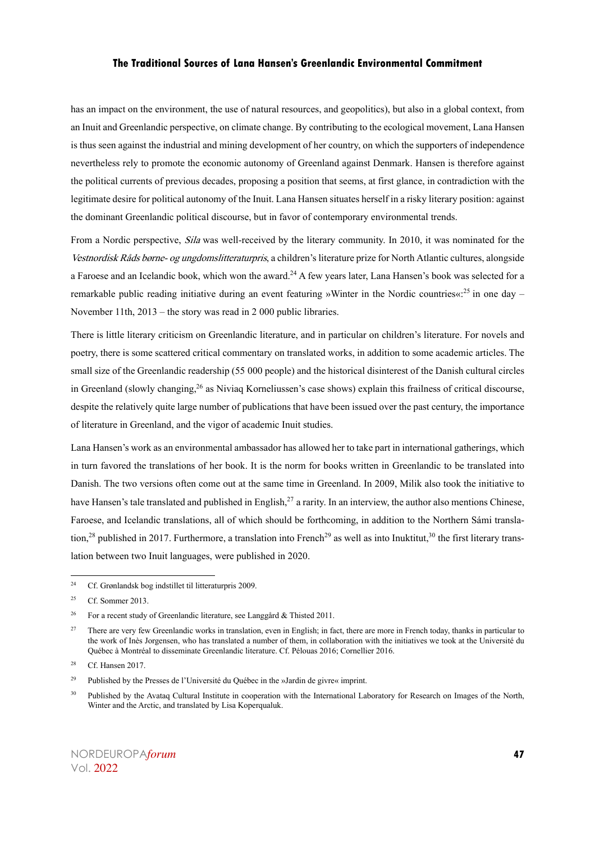has an impact on the environment, the use of natural resources, and geopolitics), but also in a global context, from an Inuit and Greenlandic perspective, on climate change. By contributing to the ecological movement, Lana Hansen is thus seen against the industrial and mining development of her country, on which the supporters of independence nevertheless rely to promote the economic autonomy of Greenland against Denmark. Hansen is therefore against the political currents of previous decades, proposing a position that seems, at first glance, in contradiction with the legitimate desire for political autonomy of the Inuit. Lana Hansen situates herself in a risky literary position: against the dominant Greenlandic political discourse, but in favor of contemporary environmental trends.

From a Nordic perspective, *Sila* was well-received by the literary community. In 2010, it was nominated for the Vestnordisk Råds børne- og ungdomslitteraturpris, a children's literature prize for North Atlantic cultures, alongside a Faroese and an Icelandic book, which won the award.<sup>24</sup> A few years later, Lana Hansen's book was selected for a remarkable public reading initiative during an event featuring »Winter in the Nordic countries«:<sup>25</sup> in one day – November 11th, 2013 – the story was read in 2 000 public libraries.

There is little literary criticism on Greenlandic literature, and in particular on children's literature. For novels and poetry, there is some scattered critical commentary on translated works, in addition to some academic articles. The small size of the Greenlandic readership (55 000 people) and the historical disinterest of the Danish cultural circles in Greenland (slowly changing,<sup>26</sup> as Niviaq Korneliussen's case shows) explain this frailness of critical discourse, despite the relatively quite large number of publications that have been issued over the past century, the importance of literature in Greenland, and the vigor of academic Inuit studies.

Lana Hansen's work as an environmental ambassador has allowed her to take part in international gatherings, which in turn favored the translations of her book. It is the norm for books written in Greenlandic to be translated into Danish. The two versions often come out at the same time in Greenland. In 2009, Milik also took the initiative to have Hansen's tale translated and published in English,<sup>27</sup> a rarity. In an interview, the author also mentions Chinese, Faroese, and Icelandic translations, all of which should be forthcoming, in addition to the Northern Sámi translation,<sup>28</sup> published in 2017. Furthermore, a translation into French<sup>29</sup> as well as into Inuktitut,<sup>30</sup> the first literary translation between two Inuit languages, were published in 2020.

<sup>24</sup> Cf. Grønlandsk bog indstillet til litteraturpris 2009.

<sup>&</sup>lt;sup>25</sup> Cf. Sommer 2013.

<sup>&</sup>lt;sup>26</sup> For a recent study of Greenlandic literature, see Langgård & Thisted 2011.

<sup>&</sup>lt;sup>27</sup> There are very few Greenlandic works in translation, even in English; in fact, there are more in French today, thanks in particular to the work of Inès Jorgensen, who has translated a number of them, in collaboration with the initiatives we took at the Université du Québec à Montréal to disseminate Greenlandic literature. Cf. Pélouas 2016; Cornellier 2016.

<sup>28</sup> Cf. Hansen 2017.

<sup>29</sup> Published by the Presses de l'Université du Québec in the »Jardin de givre« imprint.

<sup>&</sup>lt;sup>30</sup> Published by the Avataq Cultural Institute in cooperation with the International Laboratory for Research on Images of the North, Winter and the Arctic, and translated by Lisa Koperqualuk.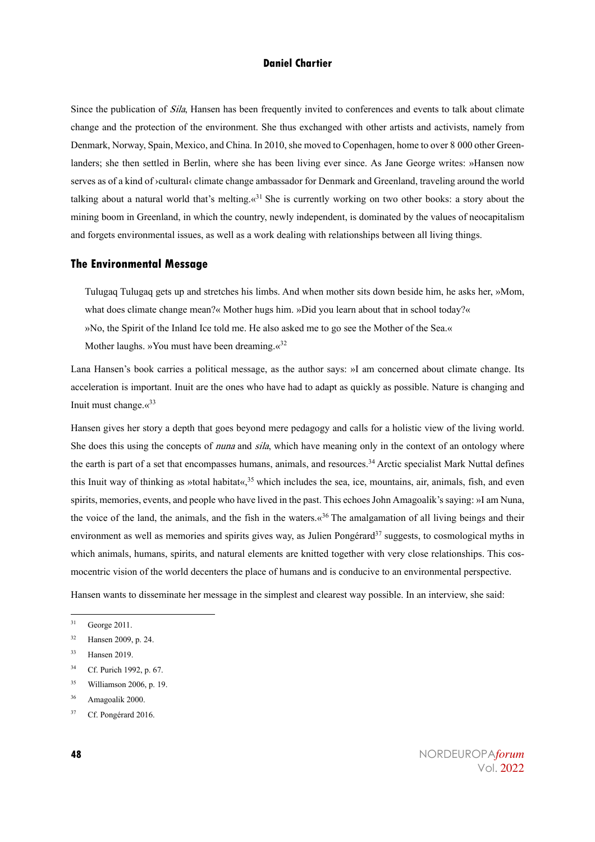Since the publication of *Sila*, Hansen has been frequently invited to conferences and events to talk about climate change and the protection of the environment. She thus exchanged with other artists and activists, namely from Denmark, Norway, Spain, Mexico, and China. In 2010, she moved to Copenhagen, home to over 8 000 other Greenlanders; she then settled in Berlin, where she has been living ever since. As Jane George writes: »Hansen now serves as of a kind of ›cultural‹ climate change ambassador for Denmark and Greenland, traveling around the world talking about a natural world that's melting. $\alpha^{31}$  She is currently working on two other books: a story about the mining boom in Greenland, in which the country, newly independent, is dominated by the values of neocapitalism and forgets environmental issues, as well as a work dealing with relationships between all living things.

#### **The Environmental Message**

Tulugaq Tulugaq gets up and stretches his limbs. And when mother sits down beside him, he asks her, »Mom, what does climate change mean?« Mother hugs him. »Did you learn about that in school today?« »No, the Spirit of the Inland Ice told me. He also asked me to go see the Mother of the Sea.« Mother laughs. »You must have been dreaming. $\alpha^{32}$ 

Lana Hansen's book carries a political message, as the author says: »I am concerned about climate change. Its acceleration is important. Inuit are the ones who have had to adapt as quickly as possible. Nature is changing and Inuit must change. $\langle \cdot \rangle^{33}$ 

Hansen gives her story a depth that goes beyond mere pedagogy and calls for a holistic view of the living world. She does this using the concepts of *nuna* and *sila*, which have meaning only in the context of an ontology where the earth is part of a set that encompasses humans, animals, and resources.<sup>34</sup> Arctic specialist Mark Nuttal defines this Inuit way of thinking as »total habitat«,<sup>35</sup> which includes the sea, ice, mountains, air, animals, fish, and even spirits, memories, events, and people who have lived in the past. This echoes John Amagoalik's saying: »I am Nuna, the voice of the land, the animals, and the fish in the waters. $\alpha^{36}$  The amalgamation of all living beings and their environment as well as memories and spirits gives way, as Julien Pongérard<sup>37</sup> suggests, to cosmological myths in which animals, humans, spirits, and natural elements are knitted together with very close relationships. This cosmocentric vision of the world decenters the place of humans and is conducive to an environmental perspective.

Hansen wants to disseminate her message in the simplest and clearest way possible. In an interview, she said:

<sup>35</sup> Williamson 2006, p. 19.

<sup>31</sup> George 2011.

<sup>32</sup> Hansen 2009, p. 24.

<sup>33</sup> Hansen 2019.

<sup>34</sup> Cf. Purich 1992, p. 67.

<sup>36</sup> Amagoalik 2000.

<sup>37</sup> Cf. Pongérard 2016.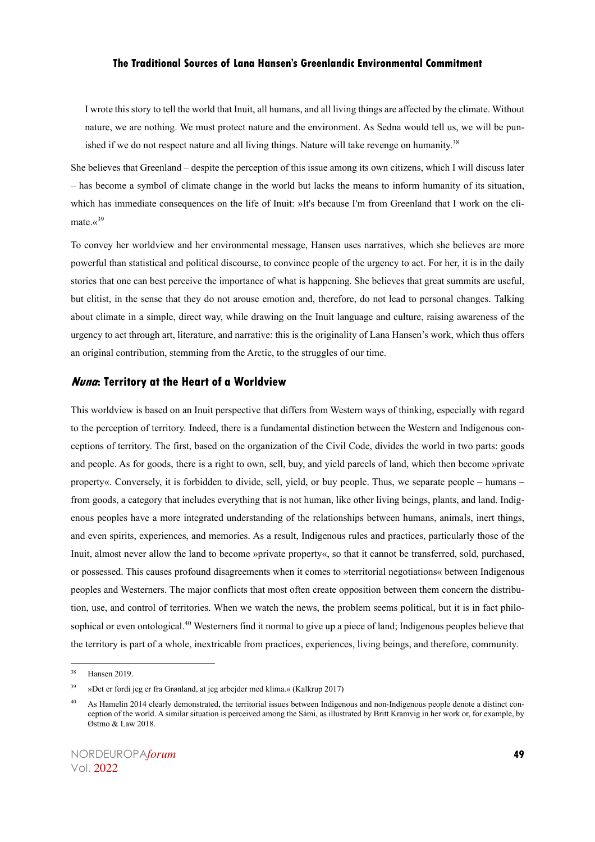I wrote this story to tell the world that Inuit, all humans, and all living things are affected by the climate. Without nature, we are nothing. We must protect nature and the environment. As Sedna would tell us, we will be punished if we do not respect nature and all living things. Nature will take revenge on humanity.<sup>38</sup>

She believes that Greenland – despite the perception of this issue among its own citizens, which I will discuss later – has become a symbol of climate change in the world but lacks the means to inform humanity of its situation, which has immediate consequences on the life of Inuit: »It's because I'm from Greenland that I work on the climate. $\kappa^{39}$ 

To convey her worldview and her environmental message, Hansen uses narratives, which she believes are more powerful than statistical and political discourse, to convince people of the urgency to act. For her, it is in the daily stories that one can best perceive the importance of what is happening. She believes that great summits are useful, but elitist, in the sense that they do not arouse emotion and, therefore, do not lead to personal changes. Talking about climate in a simple, direct way, while drawing on the Inuit language and culture, raising awareness of the urgency to act through art, literature, and narrative: this is the originality of Lana Hansen's work, which thus offers an original contribution, stemming from the Arctic, to the struggles of our time.

#### **Nuna: Territory at the Heart of a Worldview**

This worldview is based on an Inuit perspective that differs from Western ways of thinking, especially with regard to the perception of territory. Indeed, there is a fundamental distinction between the Western and Indigenous conceptions of territory. The first, based on the organization of the Civil Code, divides the world in two parts: goods and people. As for goods, there is a right to own, sell, buy, and yield parcels of land, which then become »private property«. Conversely, it is forbidden to divide, sell, yield, or buy people. Thus, we separate people – humans – from goods, a category that includes everything that is not human, like other living beings, plants, and land. Indigenous peoples have a more integrated understanding of the relationships between humans, animals, inert things, and even spirits, experiences, and memories. As a result, Indigenous rules and practices, particularly those of the Inuit, almost never allow the land to become »private property«, so that it cannot be transferred, sold, purchased, or possessed. This causes profound disagreements when it comes to »territorial negotiations« between Indigenous peoples and Westerners. The major conflicts that most often create opposition between them concern the distribution, use, and control of territories. When we watch the news, the problem seems political, but it is in fact philosophical or even ontological.<sup>40</sup> Westerners find it normal to give up a piece of land; Indigenous peoples believe that the territory is part of a whole, inextricable from practices, experiences, living beings, and therefore, community.

<sup>38</sup> Hansen 2019.

<sup>39</sup> »Det er fordi jeg er fra Grønland, at jeg arbejder med klima.« (Kalkrup 2017)

<sup>&</sup>lt;sup>40</sup> As Hamelin 2014 clearly demonstrated, the territorial issues between Indigenous and non-Indigenous people denote a distinct conception of the world. A similar situation is perceived among the Sámi, as illustrated by Britt Kramvig in her work or, for example, by Østmo & Law 2018.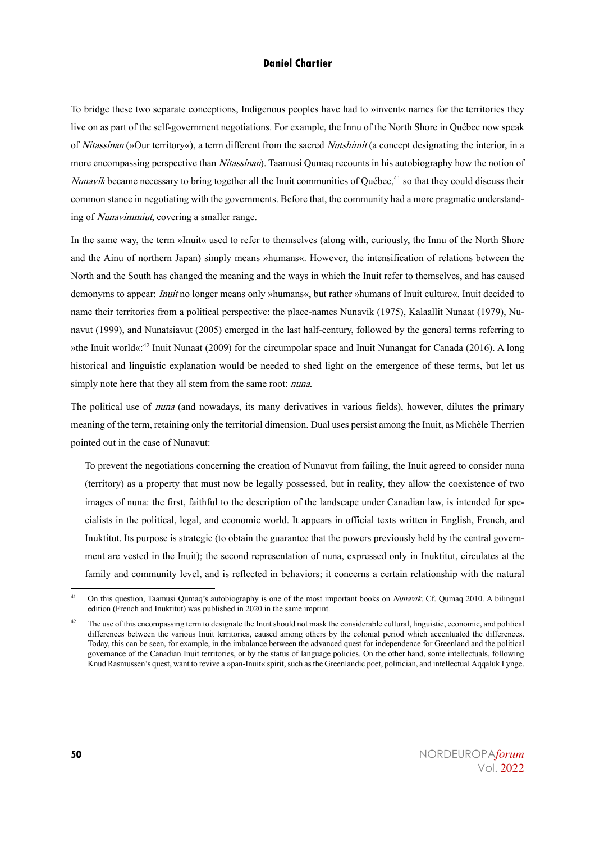To bridge these two separate conceptions, Indigenous peoples have had to »invent« names for the territories they live on as part of the self-government negotiations. For example, the Innu of the North Shore in Québec now speak of Nitassinan (»Our territory«), a term different from the sacred Nutshimit (a concept designating the interior, in a more encompassing perspective than *Nitassinan*). Taamusi Qumaq recounts in his autobiography how the notion of Nunavik became necessary to bring together all the Inuit communities of Québec,<sup>41</sup> so that they could discuss their common stance in negotiating with the governments. Before that, the community had a more pragmatic understanding of Nunavimmiut, covering a smaller range.

In the same way, the term »Inuit« used to refer to themselves (along with, curiously, the Innu of the North Shore and the Ainu of northern Japan) simply means »humans«. However, the intensification of relations between the North and the South has changed the meaning and the ways in which the Inuit refer to themselves, and has caused demonyms to appear: Inuit no longer means only »humans«, but rather »humans of Inuit culture«. Inuit decided to name their territories from a political perspective: the place-names Nunavik (1975), Kalaallit Nunaat (1979), Nunavut (1999), and Nunatsiavut (2005) emerged in the last half-century, followed by the general terms referring to »the Inuit world«:<sup>42</sup> Inuit Nunaat (2009) for the circumpolar space and Inuit Nunangat for Canada (2016). A long historical and linguistic explanation would be needed to shed light on the emergence of these terms, but let us simply note here that they all stem from the same root: *nuna*.

The political use of nuna (and nowadays, its many derivatives in various fields), however, dilutes the primary meaning of the term, retaining only the territorial dimension. Dual uses persist among the Inuit, as Michèle Therrien pointed out in the case of Nunavut:

To prevent the negotiations concerning the creation of Nunavut from failing, the Inuit agreed to consider nuna (territory) as a property that must now be legally possessed, but in reality, they allow the coexistence of two images of nuna: the first, faithful to the description of the landscape under Canadian law, is intended for specialists in the political, legal, and economic world. It appears in official texts written in English, French, and Inuktitut. Its purpose is strategic (to obtain the guarantee that the powers previously held by the central government are vested in the Inuit); the second representation of nuna, expressed only in Inuktitut, circulates at the family and community level, and is reflected in behaviors; it concerns a certain relationship with the natural

<sup>&</sup>lt;sup>41</sup> On this question, Taamusi Oumaq's autobiography is one of the most important books on *Nunavik*. Cf. Oumaq 2010. A bilingual edition (French and Inuktitut) was published in 2020 in the same imprint.

The use of this encompassing term to designate the Inuit should not mask the considerable cultural, linguistic, economic, and political differences between the various Inuit territories, caused among others by the colonial period which accentuated the differences. Today, this can be seen, for example, in the imbalance between the advanced quest for independence for Greenland and the political governance of the Canadian Inuit territories, or by the status of language policies. On the other hand, some intellectuals, following Knud Rasmussen's quest, want to revive a »pan-Inuit« spirit, such as the Greenlandic poet, politician, and intellectual Aqqaluk Lynge.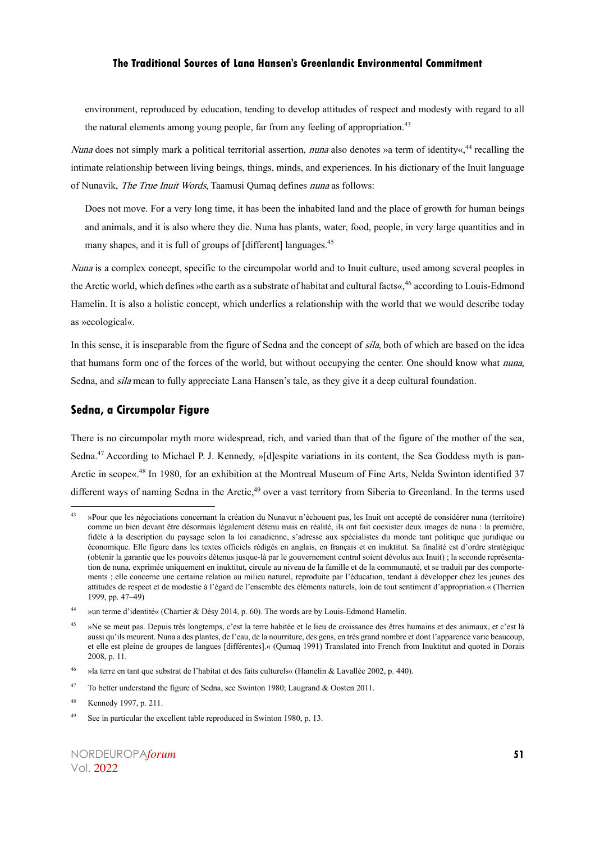environment, reproduced by education, tending to develop attitudes of respect and modesty with regard to all the natural elements among young people, far from any feeling of appropriation.<sup>43</sup>

Nuna does not simply mark a political territorial assertion, *nuna* also denotes »a term of identity«,<sup>44</sup> recalling the intimate relationship between living beings, things, minds, and experiences. In his dictionary of the Inuit language of Nunavik, The True Inuit Words, Taamusi Qumaq defines nuna as follows:

Does not move. For a very long time, it has been the inhabited land and the place of growth for human beings and animals, and it is also where they die. Nuna has plants, water, food, people, in very large quantities and in many shapes, and it is full of groups of [different] languages.<sup>45</sup>

Nuna is a complex concept, specific to the circumpolar world and to Inuit culture, used among several peoples in the Arctic world, which defines »the earth as a substrate of habitat and cultural facts«,<sup>46</sup> according to Louis-Edmond Hamelin. It is also a holistic concept, which underlies a relationship with the world that we would describe today as »ecological«.

In this sense, it is inseparable from the figure of Sedna and the concept of sila, both of which are based on the idea that humans form one of the forces of the world, but without occupying the center. One should know what *nuna*, Sedna, and *sila* mean to fully appreciate Lana Hansen's tale, as they give it a deep cultural foundation.

#### **Sedna, a Circumpolar Figure**

There is no circumpolar myth more widespread, rich, and varied than that of the figure of the mother of the sea, Sedna.<sup>47</sup> According to Michael P. J. Kennedy, »[d]espite variations in its content, the Sea Goddess myth is pan-Arctic in scope«.<sup>48</sup> In 1980, for an exhibition at the Montreal Museum of Fine Arts, Nelda Swinton identified 37 different ways of naming Sedna in the Arctic,<sup>49</sup> over a vast territory from Siberia to Greenland. In the terms used

<sup>43</sup> »Pour que les négociations concernant la création du Nunavut n'échouent pas, les Inuit ont accepté de considérer nuna (territoire) comme un bien devant être désormais légalement détenu mais en réalité, ils ont fait coexister deux images de nuna : la première, fidèle à la description du paysage selon la loi canadienne, s'adresse aux spécialistes du monde tant politique que juridique ou économique. Elle figure dans les textes officiels rédigés en anglais, en français et en inuktitut. Sa finalité est d'ordre stratégique (obtenir la garantie que les pouvoirs détenus jusque-là par le gouvernement central soient dévolus aux Inuit) ; la seconde représentation de nuna, exprimée uniquement en inuktitut, circule au niveau de la famille et de la communauté, et se traduit par des comportements ; elle concerne une certaine relation au milieu naturel, reproduite par l'éducation, tendant à développer chez les jeunes des attitudes de respect et de modestie à l'égard de l'ensemble des éléments naturels, loin de tout sentiment d'appropriation.« (Therrien 1999, pp. 47–49)

<sup>44</sup> »un terme d'identité« (Chartier & Désy 2014, p. 60). The words are by Louis-Edmond Hamelin.

<sup>45</sup> »Ne se meut pas. Depuis très longtemps, c'est la terre habitée et le lieu de croissance des êtres humains et des animaux, et c'est là aussi qu'ils meurent. Nuna a des plantes, de l'eau, de la nourriture, des gens, en très grand nombre et dont l'apparence varie beaucoup, et elle est pleine de groupes de langues [différentes].« (Qumaq 1991) Translated into French from Inuktitut and quoted in Dorais 2008, p. 11.

<sup>46</sup> »la terre en tant que substrat de l'habitat et des faits culturels« (Hamelin & Lavallée 2002, p. 440).

<sup>47</sup> To better understand the figure of Sedna, see Swinton 1980; Laugrand & Oosten 2011.

<sup>48</sup> Kennedy 1997, p. 211.

<sup>49</sup> See in particular the excellent table reproduced in Swinton 1980, p. 13.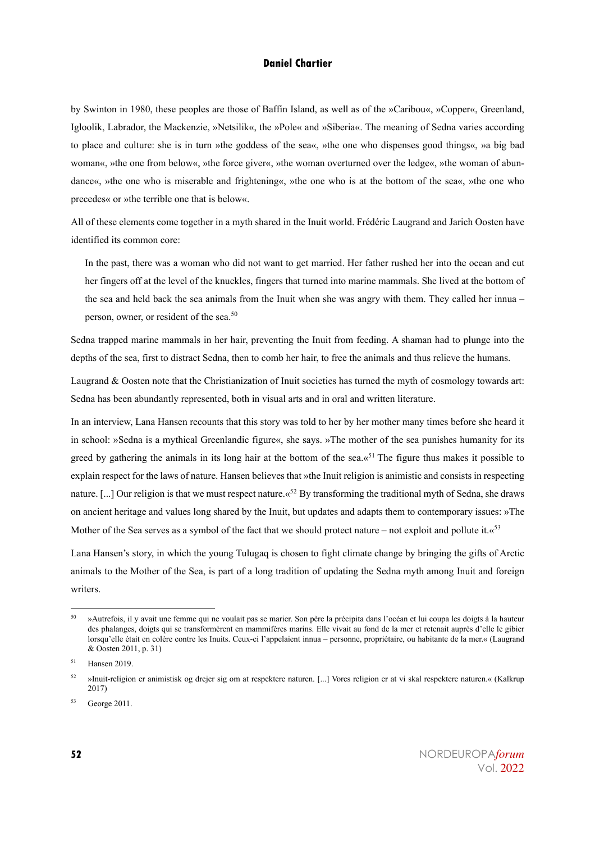by Swinton in 1980, these peoples are those of Baffin Island, as well as of the »Caribou«, »Copper«, Greenland, Igloolik, Labrador, the Mackenzie, »Netsilik«, the »Pole« and »Siberia«. The meaning of Sedna varies according to place and culture: she is in turn »the goddess of the sea«, »the one who dispenses good things«, »a big bad woman«, »the one from below«, »the force giver«, »the woman overturned over the ledge«, »the woman of abundance«, »the one who is miserable and frightening«, »the one who is at the bottom of the sea«, »the one who precedes« or »the terrible one that is below«.

All of these elements come together in a myth shared in the Inuit world. Frédéric Laugrand and Jarich Oosten have identified its common core:

In the past, there was a woman who did not want to get married. Her father rushed her into the ocean and cut her fingers off at the level of the knuckles, fingers that turned into marine mammals. She lived at the bottom of the sea and held back the sea animals from the Inuit when she was angry with them. They called her innua – person, owner, or resident of the sea.<sup>50</sup>

Sedna trapped marine mammals in her hair, preventing the Inuit from feeding. A shaman had to plunge into the depths of the sea, first to distract Sedna, then to comb her hair, to free the animals and thus relieve the humans.

Laugrand & Oosten note that the Christianization of Inuit societies has turned the myth of cosmology towards art: Sedna has been abundantly represented, both in visual arts and in oral and written literature.

In an interview, Lana Hansen recounts that this story was told to her by her mother many times before she heard it in school: »Sedna is a mythical Greenlandic figure«, she says. »The mother of the sea punishes humanity for its greed by gathering the animals in its long hair at the bottom of the sea. $\alpha^{51}$  The figure thus makes it possible to explain respect for the laws of nature. Hansen believes that »the Inuit religion is animistic and consists in respecting nature. [...] Our religion is that we must respect nature.  $x^{52}$  By transforming the traditional myth of Sedna, she draws on ancient heritage and values long shared by the Inuit, but updates and adapts them to contemporary issues: »The Mother of the Sea serves as a symbol of the fact that we should protect nature – not exploit and pollute it. $\alpha^{53}$ 

Lana Hansen's story, in which the young Tulugaq is chosen to fight climate change by bringing the gifts of Arctic animals to the Mother of the Sea, is part of a long tradition of updating the Sedna myth among Inuit and foreign writers.

<sup>50</sup> »Autrefois, il y avait une femme qui ne voulait pas se marier. Son père la précipita dans l'océan et lui coupa les doigts à la hauteur des phalanges, doigts qui se transformèrent en mammifères marins. Elle vivait au fond de la mer et retenait auprès d'elle le gibier lorsqu'elle était en colère contre les Inuits. Ceux-ci l'appelaient innua – personne, propriétaire, ou habitante de la mer.« (Laugrand & Oosten 2011, p. 31)

<sup>51</sup> Hansen 2019.

<sup>52</sup> »Inuit-religion er animistisk og drejer sig om at respektere naturen. [...] Vores religion er at vi skal respektere naturen.« (Kalkrup 2017)

<sup>53</sup> George 2011.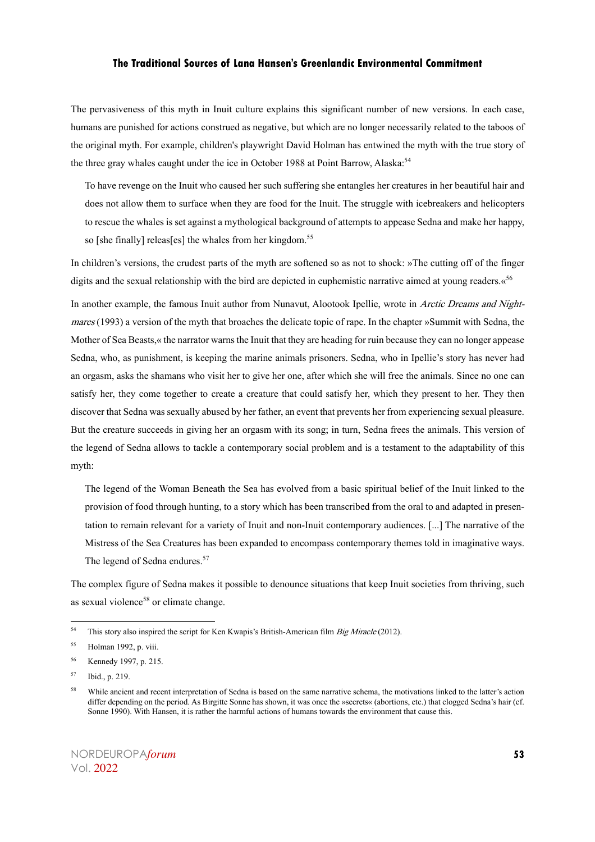The pervasiveness of this myth in Inuit culture explains this significant number of new versions. In each case, humans are punished for actions construed as negative, but which are no longer necessarily related to the taboos of the original myth. For example, children's playwright David Holman has entwined the myth with the true story of the three gray whales caught under the ice in October 1988 at Point Barrow, Alaska.<sup>54</sup>

To have revenge on the Inuit who caused her such suffering she entangles her creatures in her beautiful hair and does not allow them to surface when they are food for the Inuit. The struggle with icebreakers and helicopters to rescue the whales is set against a mythological background of attempts to appease Sedna and make her happy, so [she finally] releas[es] the whales from her kingdom.<sup>55</sup>

In children's versions, the crudest parts of the myth are softened so as not to shock: »The cutting off of the finger digits and the sexual relationship with the bird are depicted in euphemistic narrative aimed at young readers. «<sup>56</sup>

In another example, the famous Inuit author from Nunavut, Alootook Ipellie, wrote in Arctic Dreams and Nightmares (1993) a version of the myth that broaches the delicate topic of rape. In the chapter »Summit with Sedna, the Mother of Sea Beasts,« the narrator warns the Inuit that they are heading for ruin because they can no longer appease Sedna, who, as punishment, is keeping the marine animals prisoners. Sedna, who in Ipellie's story has never had an orgasm, asks the shamans who visit her to give her one, after which she will free the animals. Since no one can satisfy her, they come together to create a creature that could satisfy her, which they present to her. They then discover that Sedna was sexually abused by her father, an event that prevents her from experiencing sexual pleasure. But the creature succeeds in giving her an orgasm with its song; in turn, Sedna frees the animals. This version of the legend of Sedna allows to tackle a contemporary social problem and is a testament to the adaptability of this myth:

The legend of the Woman Beneath the Sea has evolved from a basic spiritual belief of the Inuit linked to the provision of food through hunting, to a story which has been transcribed from the oral to and adapted in presentation to remain relevant for a variety of Inuit and non-Inuit contemporary audiences. [...] The narrative of the Mistress of the Sea Creatures has been expanded to encompass contemporary themes told in imaginative ways. The legend of Sedna endures.<sup>57</sup>

The complex figure of Sedna makes it possible to denounce situations that keep Inuit societies from thriving, such as sexual violence<sup>58</sup> or climate change.

<sup>&</sup>lt;sup>54</sup> This story also inspired the script for Ken Kwapis's British-American film *Big Miracle* (2012).

<sup>55</sup> Holman 1992, p. viii.

<sup>56</sup> Kennedy 1997, p. 215.

<sup>57</sup> Ibid., p. 219.

<sup>&</sup>lt;sup>58</sup> While ancient and recent interpretation of Sedna is based on the same narrative schema, the motivations linked to the latter's action differ depending on the period. As Birgitte Sonne has shown, it was once the »secrets« (abortions, etc.) that clogged Sedna's hair (cf. Sonne 1990). With Hansen, it is rather the harmful actions of humans towards the environment that cause this.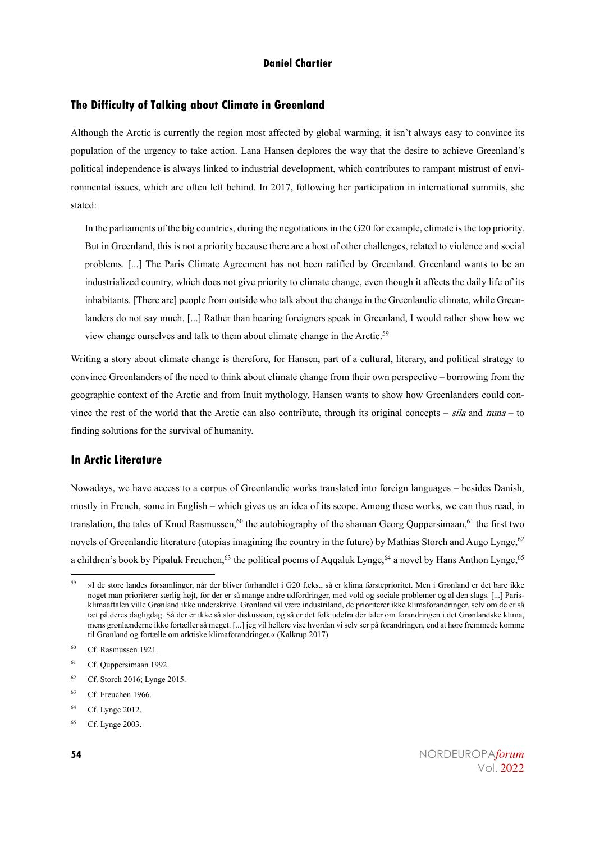## **The Difficulty of Talking about Climate in Greenland**

Although the Arctic is currently the region most affected by global warming, it isn't always easy to convince its population of the urgency to take action. Lana Hansen deplores the way that the desire to achieve Greenland's political independence is always linked to industrial development, which contributes to rampant mistrust of environmental issues, which are often left behind. In 2017, following her participation in international summits, she stated:

In the parliaments of the big countries, during the negotiations in the G20 for example, climate is the top priority. But in Greenland, this is not a priority because there are a host of other challenges, related to violence and social problems. [...] The Paris Climate Agreement has not been ratified by Greenland. Greenland wants to be an industrialized country, which does not give priority to climate change, even though it affects the daily life of its inhabitants. [There are] people from outside who talk about the change in the Greenlandic climate, while Greenlanders do not say much. [...] Rather than hearing foreigners speak in Greenland, I would rather show how we view change ourselves and talk to them about climate change in the Arctic.<sup>59</sup>

Writing a story about climate change is therefore, for Hansen, part of a cultural, literary, and political strategy to convince Greenlanders of the need to think about climate change from their own perspective – borrowing from the geographic context of the Arctic and from Inuit mythology. Hansen wants to show how Greenlanders could convince the rest of the world that the Arctic can also contribute, through its original concepts – sila and nuna – to finding solutions for the survival of humanity.

# **In Arctic Literature**

Nowadays, we have access to a corpus of Greenlandic works translated into foreign languages – besides Danish, mostly in French, some in English – which gives us an idea of its scope. Among these works, we can thus read, in translation, the tales of Knud Rasmussen,<sup>60</sup> the autobiography of the shaman Georg Quppersimaan,<sup>61</sup> the first two novels of Greenlandic literature (utopias imagining the country in the future) by Mathias Storch and Augo Lynge,<sup>62</sup> a children's book by Pipaluk Freuchen.<sup>63</sup> the political poems of Aqqaluk Lynge,<sup>64</sup> a novel by Hans Anthon Lynge,<sup>65</sup>

 $62$  Cf. Storch 2016; Lynge 2015.

<sup>&</sup>lt;sup>59</sup> »I de store landes forsamlinger, når der bliver forhandlet i G20 f.eks., så er klima førsteprioritet. Men i Grønland er det bare ikke noget man prioriterer særlig højt, for der er så mange andre udfordringer, med vold klimaaftalen ville Grønland ikke underskrive. Grønland vil være industriland, de prioriterer ikke klimaforandringer, selv om de er så tæt på deres dagligdag. Så der er ikke så stor diskussion, og så er det folk udefra der taler om forandringen i det Grønlandske klima, mens grønlænderne ikke fortæller så meget. [...] jeg vil hellere vise hvordan vi selv ser på forandringen, end at høre fremmede komme til Grønland og fortælle om arktiske klimaforandringer.« (Kalkrup 2017)

<sup>60</sup> Cf. Rasmussen 1921.

<sup>&</sup>lt;sup>61</sup> Cf. Quppersimaan 1992.

<sup>63</sup> Cf. Freuchen 1966.

<sup>&</sup>lt;sup>64</sup> Cf. Lynge 2012.

<sup>&</sup>lt;sup>65</sup> Cf. Lynge 2003.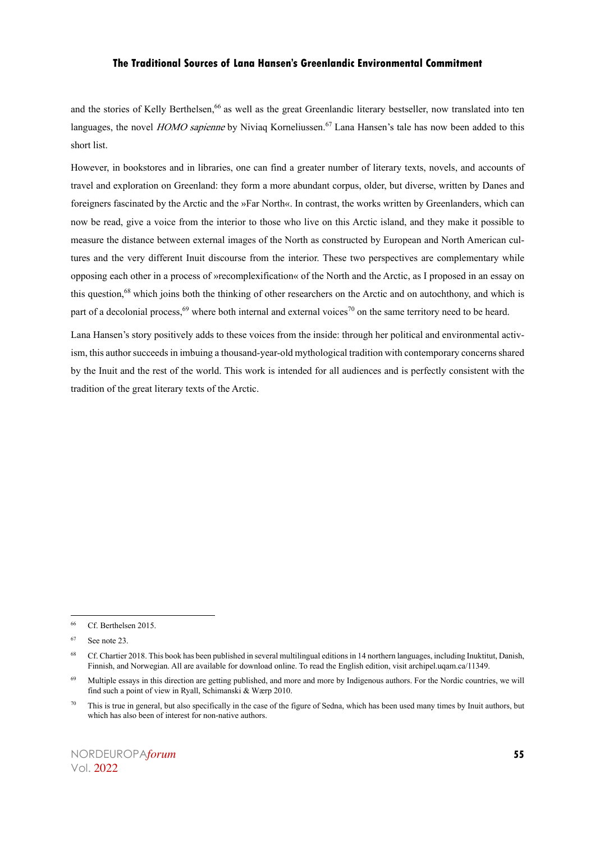and the stories of Kelly Berthelsen,<sup>66</sup> as well as the great Greenlandic literary bestseller, now translated into ten languages, the novel HOMO sapienne by Niviaq Korneliussen.<sup>67</sup> Lana Hansen's tale has now been added to this short list.

However, in bookstores and in libraries, one can find a greater number of literary texts, novels, and accounts of travel and exploration on Greenland: they form a more abundant corpus, older, but diverse, written by Danes and foreigners fascinated by the Arctic and the »Far North«. In contrast, the works written by Greenlanders, which can now be read, give a voice from the interior to those who live on this Arctic island, and they make it possible to measure the distance between external images of the North as constructed by European and North American cultures and the very different Inuit discourse from the interior. These two perspectives are complementary while opposing each other in a process of »recomplexification« of the North and the Arctic, as I proposed in an essay on this question,<sup>68</sup> which joins both the thinking of other researchers on the Arctic and on autochthony, and which is part of a decolonial process,<sup>69</sup> where both internal and external voices<sup>70</sup> on the same territory need to be heard.

Lana Hansen's story positively adds to these voices from the inside: through her political and environmental activism, this author succeeds in imbuing a thousand-year-old mythological tradition with contemporary concerns shared by the Inuit and the rest of the world. This work is intended for all audiences and is perfectly consistent with the tradition of the great literary texts of the Arctic.

<sup>66</sup> Cf. Berthelsen 2015.

<sup>67</sup> See note 23.

<sup>68</sup> Cf. Chartier 2018. This book has been published in several multilingual editions in 14 northern languages, including Inuktitut, Danish, Finnish, and Norwegian. All are available for download online. To read the English edition, visit archipel.uqam.ca/11349.

<sup>69</sup> Multiple essays in this direction are getting published, and more and more by Indigenous authors. For the Nordic countries, we will find such a point of view in Ryall, Schimanski & Wærp 2010.

<sup>&</sup>lt;sup>70</sup> This is true in general, but also specifically in the case of the figure of Sedna, which has been used many times by Inuit authors, but which has also been of interest for non-native authors.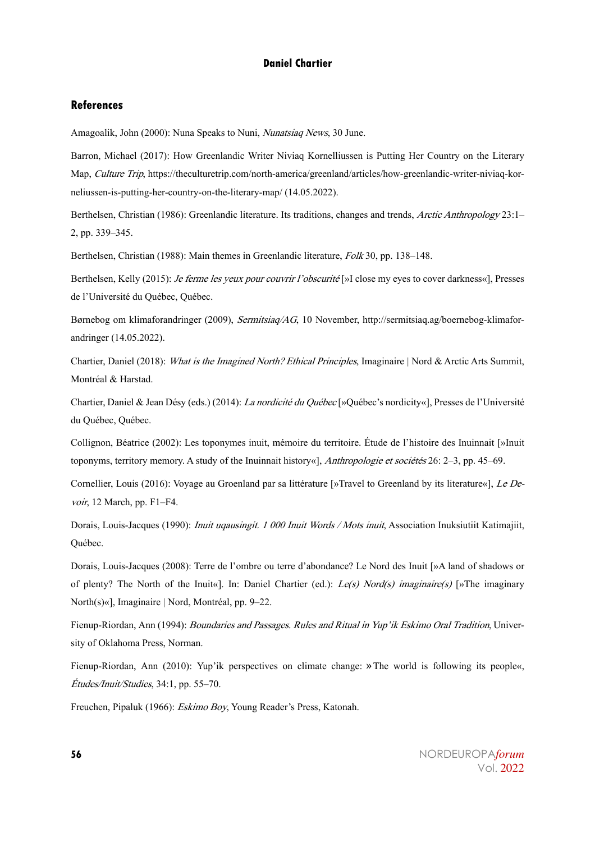## **References**

Amagoalik, John (2000): Nuna Speaks to Nuni, Nunatsiaq News, 30 June.

Barron, Michael (2017): How Greenlandic Writer Niviaq Kornelliussen is Putting Her Country on the Literary Map, Culture Trip, https://theculturetrip.com/north-america/greenland/articles/how-greenlandic-writer-niviaq-korneliussen-is-putting-her-country-on-the-literary-map/ (14.05.2022).

Berthelsen, Christian (1986): Greenlandic literature. Its traditions, changes and trends, Arctic Anthropology 23:1-2, pp. 339–345.

Berthelsen, Christian (1988): Main themes in Greenlandic literature, Folk 30, pp. 138–148.

Berthelsen, Kelly (2015): *Je ferme les yeux pour couvrir l'obscurité* [»I close my eyes to cover darkness«], Presses de l'Université du Québec, Québec.

Børnebog om klimaforandringer (2009), Sermitsiaq/AG, 10 November, http://sermitsiaq.ag/boernebog-klimaforandringer (14.05.2022).

Chartier, Daniel (2018): What is the Imagined North? Ethical Principles, Imaginaire | Nord & Arctic Arts Summit, Montréal & Harstad.

Chartier, Daniel & Jean Désy (eds.) (2014): La nordicité du Québec [»Québec's nordicity«], Presses de l'Université du Québec, Québec.

Collignon, Béatrice (2002): Les toponymes inuit, mémoire du territoire. Étude de l'histoire des Inuinnait [»Inuit toponyms, territory memory. A study of the Inuinnait history«], Anthropologie et sociétés 26: 2–3, pp. 45–69.

Cornellier, Louis (2016): Voyage au Groenland par sa littérature [»Travel to Greenland by its literature«], Le Devoir, 12 March, pp. F1–F4.

Dorais, Louis-Jacques (1990): *Inuit uqausingit. 1 000 Inuit Words / Mots inuit*, Association Inuksiutiit Katimajiit, Québec.

Dorais, Louis-Jacques (2008): Terre de l'ombre ou terre d'abondance? Le Nord des Inuit [»A land of shadows or of plenty? The North of the Inuit«]. In: Daniel Chartier (ed.):  $Le(s)$  Nord(s) imaginaire(s) [»The imaginary North(s)«], Imaginaire | Nord, Montréal, pp. 9–22.

Fienup-Riordan, Ann (1994): Boundaries and Passages. Rules and Ritual in Yup'ik Eskimo Oral Tradition, University of Oklahoma Press, Norman.

Fienup-Riordan, Ann (2010): Yup'ik perspectives on climate change: »The world is following its people«, Études/Inuit/Studies, 34:1, pp. 55–70.

Freuchen, Pipaluk (1966): Eskimo Boy, Young Reader's Press, Katonah.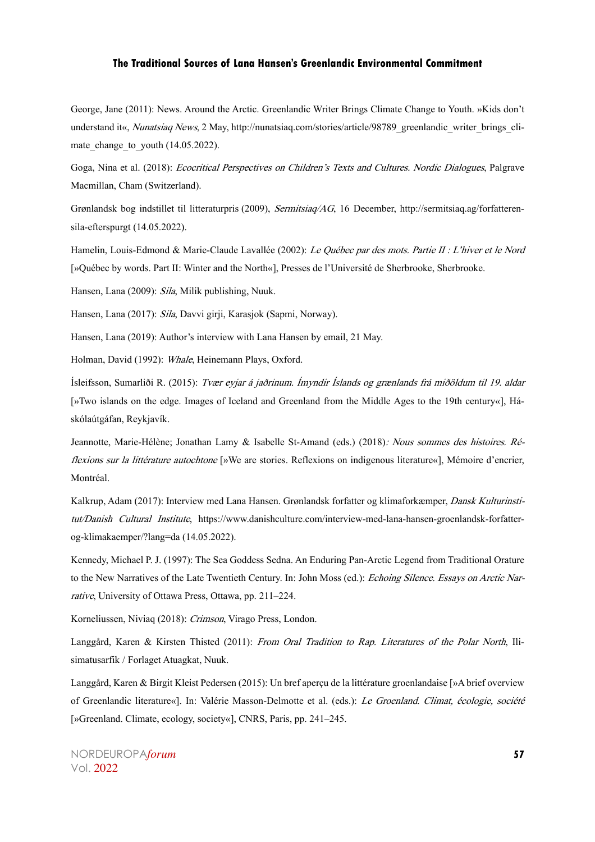George, Jane (2011): News. Around the Arctic. Greenlandic Writer Brings Climate Change to Youth. »Kids don't understand it«, Nunatsiaq News, 2 May, http://nunatsiaq.com/stories/article/98789\_greenlandic\_writer\_brings\_climate change to youth  $(14.05.2022)$ .

Goga, Nina et al. (2018): Ecocritical Perspectives on Children's Texts and Cultures. Nordic Dialogues, Palgrave Macmillan, Cham (Switzerland).

Grønlandsk bog indstillet til litteraturpris (2009), Sermitsiaq/AG, 16 December, http://sermitsiaq.ag/forfatterensila-efterspurgt (14.05.2022).

Hamelin, Louis-Edmond & Marie-Claude Lavallée (2002): Le Québec par des mots. Partie II : L'hiver et le Nord [»Québec by words. Part II: Winter and the North«], Presses de l'Université de Sherbrooke, Sherbrooke.

Hansen, Lana (2009): Sila, Milik publishing, Nuuk.

Hansen, Lana (2017): Sila, Davvi girji, Karasjok (Sapmi, Norway).

Hansen, Lana (2019): Author's interview with Lana Hansen by email, 21 May.

Holman, David (1992): Whale, Heinemann Plays, Oxford.

Ísleifsson, Sumarliði R. (2015): Tvær eyjar á jaðrinum. Ímyndir Íslands og grænlands frá miðöldum til 19. aldar [»Two islands on the edge. Images of Iceland and Greenland from the Middle Ages to the 19th century«], Háskólaútgáfan, Reykjavík.

Jeannotte, Marie-Hélène; Jonathan Lamy & Isabelle St-Amand (eds.) (2018): Nous sommes des histoires. Réflexions sur la littérature autochtone [»We are stories. Reflexions on indigenous literature«], Mémoire d'encrier, Montréal.

Kalkrup, Adam (2017): Interview med Lana Hansen. Grønlandsk forfatter og klimaforkæmper, Dansk Kulturinstitut/Danish Cultural Institute, https://www.danishculture.com/interview-med-lana-hansen-groenlandsk-forfatterog-klimakaemper/?lang=da (14.05.2022).

Kennedy, Michael P. J. (1997): The Sea Goddess Sedna. An Enduring Pan-Arctic Legend from Traditional Orature to the New Narratives of the Late Twentieth Century. In: John Moss (ed.): Echoing Silence. Essays on Arctic Narrative, University of Ottawa Press, Ottawa, pp. 211–224.

Korneliussen, Niviaq (2018): Crimson, Virago Press, London.

Langgård, Karen & Kirsten Thisted (2011): From Oral Tradition to Rap. Literatures of the Polar North, Ilisimatusarfik / Forlaget Atuagkat, Nuuk.

Langgård, Karen & Birgit Kleist Pedersen (2015): Un bref aperçu de la littérature groenlandaise [»A brief overview of Greenlandic literature«]. In: Valérie Masson-Delmotte et al. (eds.): Le Groenland. Climat, écologie, société [»Greenland. Climate, ecology, society«], CNRS, Paris, pp. 241–245.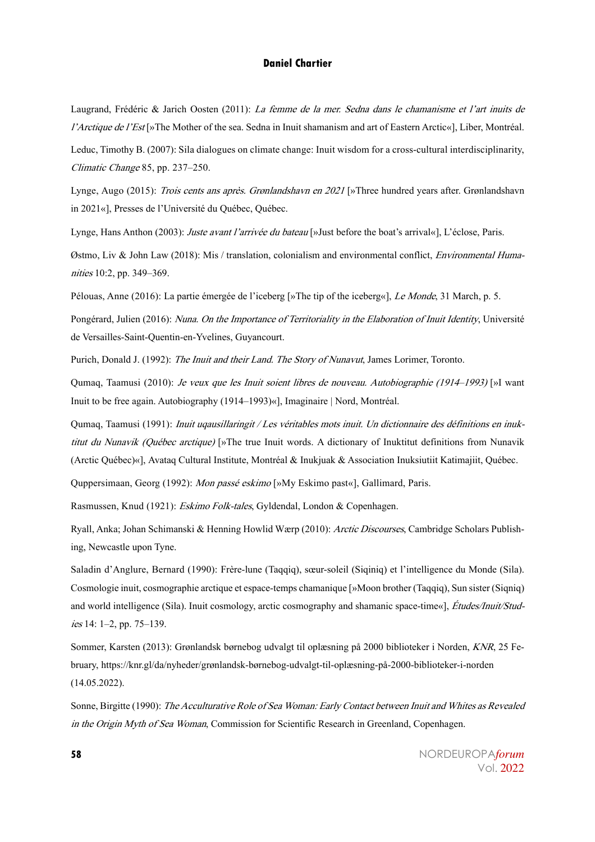Laugrand, Frédéric & Jarich Oosten (2011): La femme de la mer. Sedna dans le chamanisme et l'art inuits de l'Arctique de l'Est [»The Mother of the sea. Sedna in Inuit shamanism and art of Eastern Arctic«], Liber, Montréal. Leduc, Timothy B. (2007): Sila dialogues on climate change: Inuit wisdom for a cross-cultural interdisciplinarity, Climatic Change 85, pp. 237–250.

Lynge, Augo (2015): Trois cents ans après. Grønlandshavn en 2021 [»Three hundred years after. Grønlandshavn in 2021«], Presses de l'Université du Québec, Québec.

Lynge, Hans Anthon (2003): Juste avant l'arrivée du bateau [»Just before the boat's arrival«], L'éclose, Paris.

Østmo, Liv & John Law (2018): Mis / translation, colonialism and environmental conflict, Environmental Humanities 10:2, pp. 349–369.

Pélouas, Anne (2016): La partie émergée de l'iceberg [»The tip of the iceberg«], Le Monde, 31 March, p. 5.

Pongérard, Julien (2016): Nuna. On the Importance of Territoriality in the Elaboration of Inuit Identity, Université de Versailles-Saint-Quentin-en-Yvelines, Guyancourt.

Purich, Donald J. (1992): The Inuit and their Land. The Story of Nunavut, James Lorimer, Toronto.

Qumaq, Taamusi (2010): Je veux que les Inuit soient libres de nouveau. Autobiographie (1914–1993) [»I want Inuit to be free again. Autobiography (1914–1993)«], Imaginaire | Nord, Montréal.

Qumaq, Taamusi (1991): *Inuit uqausillaringit / Les véritables mots inuit. Un dictionnaire des définitions en inuk*titut du Nunavik (Québec arctique) [»The true Inuit words. A dictionary of Inuktitut definitions from Nunavik (Arctic Québec)«], Avataq Cultural Institute, Montréal & Inukjuak & Association Inuksiutiit Katimajiit, Québec.

Quppersimaan, Georg (1992): Mon passé eskimo [»My Eskimo past«], Gallimard, Paris.

Rasmussen, Knud (1921): Eskimo Folk-tales, Gyldendal, London & Copenhagen.

Ryall, Anka; Johan Schimanski & Henning Howlid Wærp (2010): Arctic Discourses, Cambridge Scholars Publishing, Newcastle upon Tyne.

Saladin d'Anglure, Bernard (1990): Frère-lune (Taqqiq), sœur-soleil (Siqiniq) et l'intelligence du Monde (Sila). Cosmologie inuit, cosmographie arctique et espace-temps chamanique [»Moon brother (Taqqiq), Sun sister (Siqniq) and world intelligence (Sila). Inuit cosmology, arctic cosmography and shamanic space-time«], Études/Inuit/Studies 14: 1–2, pp. 75–139.

Sommer, Karsten (2013): Grønlandsk børnebog udvalgt til oplæsning på 2000 biblioteker i Norden, KNR, 25 February, https://knr.gl/da/nyheder/grønlandsk-børnebog-udvalgt-til-oplæsning-på-2000-biblioteker-i-norden (14.05.2022).

Sonne, Birgitte (1990): The Acculturative Role of Sea Woman: Early Contact between Inuit and Whites as Revealed in the Origin Myth of Sea Woman, Commission for Scientific Research in Greenland, Copenhagen.